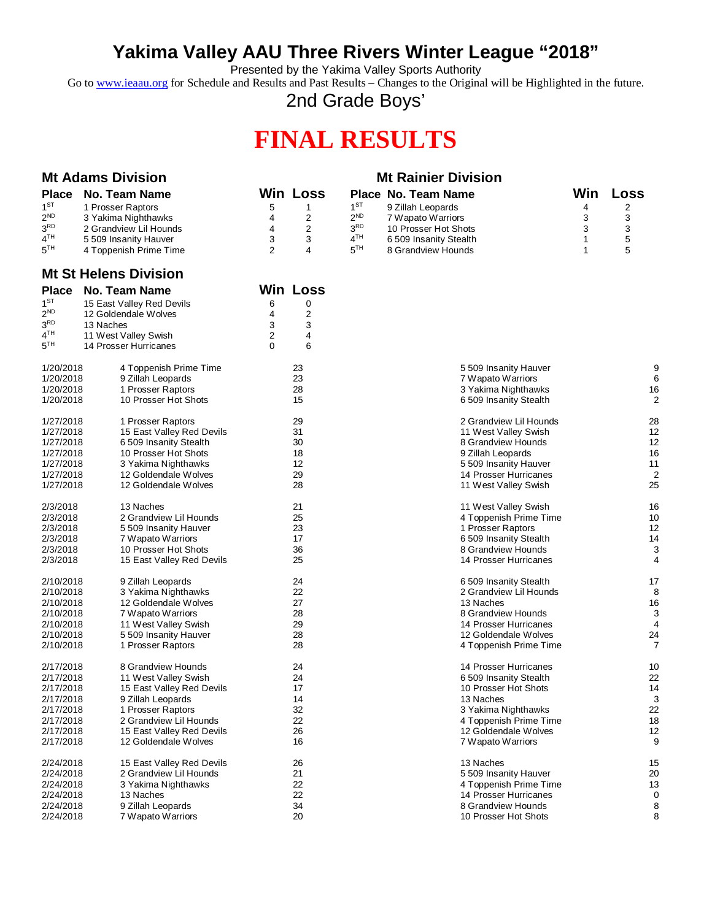## **Yakima Valley AAU Three Rivers Winter League "2018"**

Presented by the Yakima Valley Sports Authority

Go to [www.ieaau.org](http://www.ieaau.org) for Schedule and Results and Past Results – Changes to the Original will be Highlighted in the future.

2nd Grade Boys'

# **FINAL RESULTS**

| <b>Mt Adams Division</b> |                                                   | <b>Mt Rainier Division</b> |                         |                 |                                           |              |                |
|--------------------------|---------------------------------------------------|----------------------------|-------------------------|-----------------|-------------------------------------------|--------------|----------------|
| <b>Place</b>             | <b>No. Team Name</b>                              |                            | <b>Win Loss</b>         |                 | Place No. Team Name                       | Win          | Loss           |
| 1 <sup>ST</sup>          | 1 Prosser Raptors                                 | 5                          | 1                       | 1 <sup>ST</sup> | 9 Zillah Leopards                         | 4            | 2              |
| $2^{ND}$                 | 3 Yakima Nighthawks                               | 4                          | 2                       | 2 <sup>ND</sup> | 7 Wapato Warriors                         | 3            | 3              |
| $3^{\rm RD}$             | 2 Grandview Lil Hounds                            | 4                          | $\overline{c}$          | 3 <sup>RD</sup> | 10 Prosser Hot Shots                      | 3            | 3              |
| 4 <sup>TH</sup>          | 5 509 Insanity Hauver                             | 3                          | 3                       | 4 <sup>TH</sup> | 6 509 Insanity Stealth                    | $\mathbf{1}$ | 5              |
| $5^{TH}$                 | 4 Toppenish Prime Time                            | 2                          | 4                       | 5 <sup>TH</sup> | 8 Grandview Hounds                        | 1            | 5              |
|                          | <b>Mt St Helens Division</b>                      |                            |                         |                 |                                           |              |                |
| <b>Place</b>             | <b>No. Team Name</b>                              |                            | <b>Win Loss</b>         |                 |                                           |              |                |
| $1^{ST}$                 | 15 East Valley Red Devils                         | 6                          | 0                       |                 |                                           |              |                |
| $2^{ND}$                 | 12 Goldendale Wolves                              | 4                          | $\overline{\mathbf{c}}$ |                 |                                           |              |                |
| 3 <sup>RD</sup>          | 13 Naches                                         | 3                          | 3                       |                 |                                           |              |                |
| 4 <sup>TH</sup>          | 11 West Valley Swish                              | 2                          | 4                       |                 |                                           |              |                |
| $5^{TH}$                 | 14 Prosser Hurricanes                             | $\Omega$                   | 6                       |                 |                                           |              |                |
| 1/20/2018                | 4 Toppenish Prime Time                            |                            | 23                      |                 | 5 509 Insanity Hauver                     |              | 9              |
| 1/20/2018                | 9 Zillah Leopards                                 |                            | 23                      |                 | 7 Wapato Warriors                         |              | 6              |
| 1/20/2018                | 1 Prosser Raptors                                 |                            | 28                      |                 | 3 Yakima Nighthawks                       |              | 16             |
| 1/20/2018                | 10 Prosser Hot Shots                              |                            | 15                      |                 | 6 509 Insanity Stealth                    |              | $\overline{c}$ |
| 1/27/2018                | 1 Prosser Raptors                                 |                            | 29                      |                 | 2 Grandview Lil Hounds                    |              | 28             |
| 1/27/2018                | 15 East Valley Red Devils                         |                            | 31                      |                 | 11 West Valley Swish                      |              | 12             |
| 1/27/2018                | 6 509 Insanity Stealth                            |                            | 30                      |                 | 8 Grandview Hounds                        |              | 12             |
| 1/27/2018<br>1/27/2018   | 10 Prosser Hot Shots<br>3 Yakima Nighthawks       |                            | 18<br>12                |                 | 9 Zillah Leopards<br>5509 Insanity Hauver |              | 16<br>11       |
| 1/27/2018                | 12 Goldendale Wolves                              |                            | 29                      |                 | 14 Prosser Hurricanes                     |              | $\overline{2}$ |
| 1/27/2018                | 12 Goldendale Wolves                              |                            | 28                      |                 | 11 West Valley Swish                      |              | 25             |
| 2/3/2018                 | 13 Naches                                         |                            | 21                      |                 | 11 West Valley Swish                      |              | 16             |
| 2/3/2018                 | 2 Grandview Lil Hounds                            |                            | 25                      |                 | 4 Toppenish Prime Time                    |              | 10             |
| 2/3/2018                 | 5 509 Insanity Hauver                             |                            | 23                      |                 | 1 Prosser Raptors                         |              | 12             |
| 2/3/2018                 | 7 Wapato Warriors                                 |                            | 17                      |                 | 6 509 Insanity Stealth                    |              | 14             |
| 2/3/2018                 | 10 Prosser Hot Shots                              |                            | 36                      |                 | 8 Grandview Hounds                        |              | 3              |
| 2/3/2018                 | 15 East Valley Red Devils                         |                            | 25                      |                 | 14 Prosser Hurricanes                     |              | 4              |
| 2/10/2018                | 9 Zillah Leopards                                 |                            | 24                      |                 | 6 509 Insanity Stealth                    |              | 17             |
| 2/10/2018                | 3 Yakima Nighthawks                               |                            | 22                      |                 | 2 Grandview Lil Hounds                    |              | 8              |
| 2/10/2018<br>2/10/2018   | 12 Goldendale Wolves<br>7 Wapato Warriors         |                            | 27<br>28                |                 | 13 Naches<br>8 Grandview Hounds           |              | 16<br>3        |
| 2/10/2018                | 11 West Valley Swish                              |                            | 29                      |                 | 14 Prosser Hurricanes                     |              | 4              |
| 2/10/2018                | 5 509 Insanity Hauver                             |                            | 28                      |                 | 12 Goldendale Wolves                      |              | 24             |
| 2/10/2018                | 1 Prosser Raptors                                 |                            | 28                      |                 | 4 Toppenish Prime Time                    |              | 7              |
| 2/17/2018                | 8 Grandview Hounds                                |                            | 24                      |                 | 14 Prosser Hurricanes                     |              | 10             |
| 2/17/2018                | 11 West Valley Swish                              |                            | 24                      |                 | 6 509 Insanity Stealth                    |              | 22             |
| 2/17/2018                | 15 East Valley Red Devils                         |                            | 17                      |                 | 10 Prosser Hot Shots                      |              | 14             |
| 2/17/2018                | 9 Zillah Leopards                                 |                            | 14                      |                 | 13 Naches                                 |              | 3              |
| 2/17/2018                | 1 Prosser Raptors                                 |                            | 32                      |                 | 3 Yakima Nighthawks                       |              | 22             |
| 2/17/2018                | 2 Grandview Lil Hounds                            |                            | 22                      |                 | 4 Toppenish Prime Time                    |              | 18             |
| 2/17/2018<br>2/17/2018   | 15 East Valley Red Devils<br>12 Goldendale Wolves |                            | 26<br>16                |                 | 12 Goldendale Wolves<br>7 Wapato Warriors |              | 12<br>9        |
| 2/24/2018                | 15 East Valley Red Devils                         |                            | 26                      |                 | 13 Naches                                 |              | 15             |
| 2/24/2018                | 2 Grandview Lil Hounds                            |                            | 21                      |                 | 5 509 Insanity Hauver                     |              | 20             |
| 2/24/2018                | 3 Yakima Nighthawks                               |                            | 22                      |                 | 4 Toppenish Prime Time                    |              | 13             |
| 2/24/2018                | 13 Naches                                         |                            | 22                      |                 | 14 Prosser Hurricanes                     |              | 0              |
| 2/24/2018                | 9 Zillah Leopards                                 |                            | 34                      |                 | 8 Grandview Hounds                        |              | 8              |
| 2/24/2018                | 7 Wapato Warriors                                 |                            | 20                      |                 | 10 Prosser Hot Shots                      |              | 8              |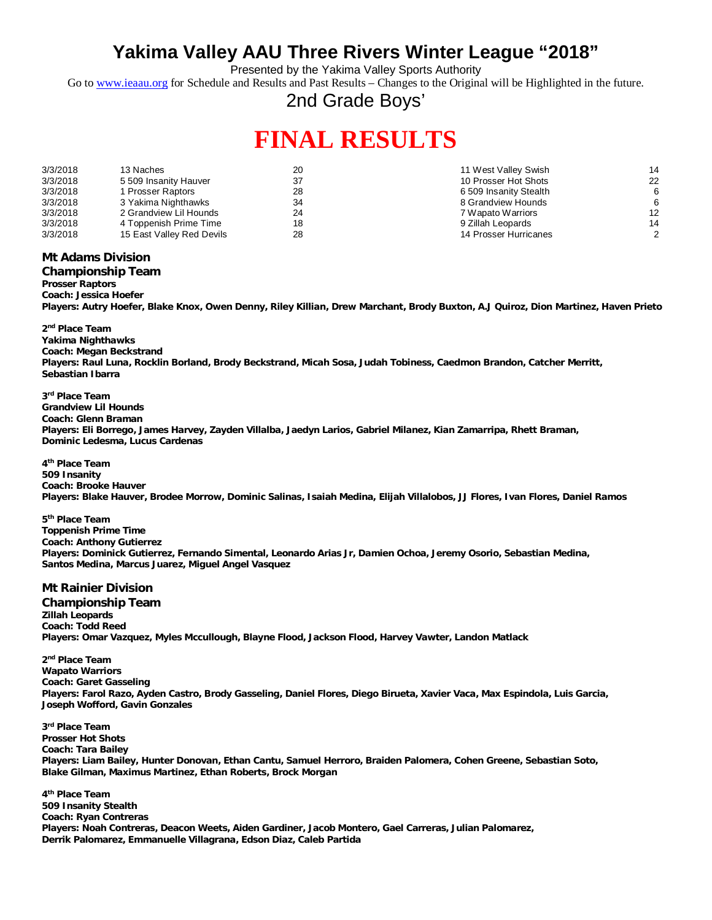## **Yakima Valley AAU Three Rivers Winter League "2018"**

Presented by the Yakima Valley Sports Authority

Go to [www.ieaau.org](http://www.ieaau.org) for Schedule and Results and Past Results - Changes to the Original will be Highlighted in the future.

2nd Grade Boys'

# **FINAL RESULTS**

| 3/3/2018 | 13 Naches                 | 20 | 11 West Valley Swish   | 14 |
|----------|---------------------------|----|------------------------|----|
| 3/3/2018 | 5 509 Insanity Hauver     |    | 10 Prosser Hot Shots   | 22 |
| 3/3/2018 | 1 Prosser Raptors         | 28 | 6 509 Insanity Stealth | 6  |
| 3/3/2018 | 3 Yakima Nighthawks       | 34 | 8 Grandview Hounds     |    |
| 3/3/2018 | 2 Grandview Lil Hounds    | 24 | 7 Wapato Warriors      | 12 |
| 3/3/2018 | 4 Toppenish Prime Time    | 18 | 9 Zillah Leopards      | 14 |
| 3/3/2018 | 15 East Valley Red Devils | 28 | 14 Prosser Hurricanes  | 2  |

### **Mt Adams Division**

#### **Championship Team**

**Prosser Raptors Coach: Jessica Hoefer**

**Players: Autry Hoefer, Blake Knox, Owen Denny, Riley Killian, Drew Marchant, Brody Buxton, A.J Quiroz, Dion Martinez, Haven Prieto**

**2 nd Place Team Yakima Nighthawks Coach: Megan Beckstrand Players: Raul Luna, Rocklin Borland, Brody Beckstrand, Micah Sosa, Judah Tobiness, Caedmon Brandon, Catcher Merritt, Sebastian Ibarra**

**3 rd Place Team Grandview Lil Hounds Coach: Glenn Braman Players: Eli Borrego, James Harvey, Zayden Villalba, Jaedyn Larios, Gabriel Milanez, Kian Zamarripa, Rhett Braman, Dominic Ledesma, Lucus Cardenas**

**4 th Place Team 509 Insanity Coach: Brooke Hauver Players: Blake Hauver, Brodee Morrow, Dominic Salinas, Isaiah Medina, Elijah Villalobos, JJ Flores, Ivan Flores, Daniel Ramos**

**5 th Place Team Toppenish Prime Time Coach: Anthony Gutierrez Players: Dominick Gutierrez, Fernando Simental, Leonardo Arias Jr, Damien Ochoa, Jeremy Osorio, Sebastian Medina, Santos Medina, Marcus Juarez, Miguel Angel Vasquez**

#### **Mt Rainier Division**

**Championship Team Zillah Leopards Coach: Todd Reed Players: Omar Vazquez, Myles Mccullough, Blayne Flood, Jackson Flood, Harvey Vawter, Landon Matlack**

**2 nd Place Team Wapato Warriors Coach: Garet Gasseling Players: Farol Razo, Ayden Castro, Brody Gasseling, Daniel Flores, Diego Birueta, Xavier Vaca, Max Espindola, Luis Garcia, Joseph Wofford, Gavin Gonzales**

**3 rd Place Team Prosser Hot Shots Coach: Tara Bailey Players: Liam Bailey, Hunter Donovan, Ethan Cantu, Samuel Herroro, Braiden Palomera, Cohen Greene, Sebastian Soto, Blake Gilman, Maximus Martinez, Ethan Roberts, Brock Morgan**

**4 th Place Team 509 Insanity Stealth Coach: Ryan Contreras Players: Noah Contreras, Deacon Weets, Aiden Gardiner, Jacob Montero, Gael Carreras, Julian Palomarez, Derrik Palomarez, Emmanuelle Villagrana, Edson Diaz, Caleb Partida**